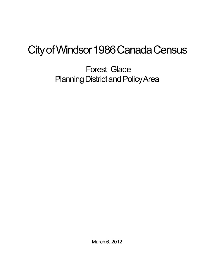## City of Windsor 1986 Canada Census

Forest Glade Planning District and Policy Area

March 6, 2012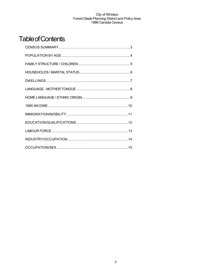## **Table of Contents**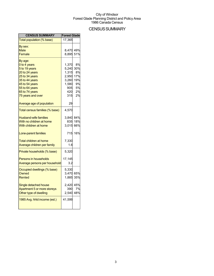## **CENSUS SUMMARY**

| <b>CENSUS SUMMARY</b>                                                                                                                                                     | <b>Forest Glade</b>                                                     |                                                       |
|---------------------------------------------------------------------------------------------------------------------------------------------------------------------------|-------------------------------------------------------------------------|-------------------------------------------------------|
| Total population (% base)                                                                                                                                                 | 17,365                                                                  |                                                       |
| By sex:<br>Male<br>Female                                                                                                                                                 | 8,470 49%<br>8,895                                                      | 51%                                                   |
| By age:<br>0 to 4 years<br>5 to 19 years<br>20 to 24 years<br>25 to 34 years<br>35 to 44 years<br>45 to 54 years<br>55 to 64 years<br>65 to 74 years<br>75 years and over | 1,370<br>5,240<br>1,315<br>2,950<br>3,260<br>1,580<br>905<br>420<br>315 | 8%<br>30%<br>8%<br>17%<br>19%<br>9%<br>5%<br>2%<br>2% |
| Average age of population                                                                                                                                                 | 29                                                                      |                                                       |
| Total census families (% base)                                                                                                                                            | 4,570                                                                   |                                                       |
| <b>Husband-wife families</b><br>With no children at home<br>With children at home                                                                                         | 3,840<br>835<br>3,015                                                   | 84%<br>18%<br>66%                                     |
| Lone-parent families                                                                                                                                                      | 715                                                                     | 16%                                                   |
| <b>Total children at home</b><br>Average children per family                                                                                                              | 7,330<br>1.6                                                            |                                                       |
| Private households (% base)                                                                                                                                               | 5,320                                                                   |                                                       |
| <b>Persons in households</b><br>Average persons per household                                                                                                             | 17,145<br>3.2                                                           |                                                       |
| Occupied dwellings (% base)<br>Owned<br>Rented                                                                                                                            | 5,330<br>3,470 65%<br>1,885                                             | 35%                                                   |
| Single detached house<br>Apartment 5 or more storeys<br>Other type of dwelling                                                                                            | 2,420 45%<br>390<br>2,540                                               | 7%<br>48%                                             |
| 1985 Avg. hhld income (est.)                                                                                                                                              | 41,599                                                                  |                                                       |
|                                                                                                                                                                           |                                                                         |                                                       |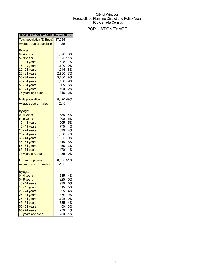## POPULATIONBYAGE

| <b>POPULATION BY AGE Forest Glade</b>         |           |       |
|-----------------------------------------------|-----------|-------|
| <mark>Total population (% Base)</mark> 17,365 |           |       |
| Average age of population                     | 29        |       |
| By age:                                       |           |       |
| 0 - 4 years                                   | 1,370     | 8%    |
| 5 - 9 years                                   | 1,825     | 11%   |
| 10 - 14 years                                 | 1,825     | 11%   |
| 15 - 19 years                                 | 1,590     | 9%    |
| 20 - 24 years                                 | 1,315     | 8%    |
| 25 - 34 years                                 | 2,950     | 17%   |
| 35 - 44 years                                 | 3,260     | 19%   |
| 45 - 54 years                                 | 1,580     | 9%    |
| 55 - 64 years                                 | 905       | 5%    |
| 65 - 74 years                                 | 420       | 2%    |
| 75 years and over                             | 315       | 2%    |
|                                               |           |       |
| <b>Male population</b>                        | 8,470 49% |       |
| Average age of males                          | 28.5      |       |
| By age:                                       |           |       |
| 0 - 4 years                                   | 685       | 4%    |
| 5 - 9 years                                   | 900       | 5%    |
| 10 - 14 years                                 | 905       | 5%    |
| 15 - 19 years                                 | 775       | 4%    |
| 20 - 24 years                                 | 690       | 4%    |
| 25 - 34 years                                 | 1,300     | 7%    |
| 35 - 44 years                                 | 1,635     | 9%    |
| 45 - 54 years                                 | 845       | 5%    |
| 55 - 64 years                                 | 455       | 3%    |
| 65 - 74 years                                 | 170       | 1%    |
| 75 years and over                             | 85        | 0%    |
| <b>Female population</b>                      | 8,895 51% |       |
| Average age of females                        | 29.5      |       |
|                                               |           |       |
| By age:                                       |           |       |
| 0 - 4 years                                   | 685       | 4%    |
| 5 - 9 years                                   | 925       | 5%    |
| 10 - 14 years                                 | 920       | 5%    |
| 15 - 19 years                                 | 815       | 5%    |
| 20 - 24 years                                 | 625       | 4%    |
| 25 - 34 years                                 | 1,650     | 10%   |
| 35 - 44 years                                 | 1,625     | 9%    |
| 45 - 54 years                                 | 735       | 4%    |
| 55 - 64 years                                 | 450       | 3%    |
| 65 - 74 years                                 | 250       | 1%    |
| 75 years and over                             | 230       | $1\%$ |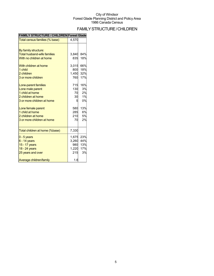## FAMILYSTRUCTURE/CHILDREN

| 31 N<br>וטוט<br>LUNENI             | FUI BUU UIDUB |     |
|------------------------------------|---------------|-----|
| Total census families (% base)     | 4,570         |     |
|                                    |               |     |
| By family structure:               |               |     |
| <b>Total husband-wife families</b> | 3,840         | 84% |
| With no children at home           | 835           | 18% |
| With children at home              | 3,015         | 66% |
| 1 child                            | 800           | 18% |
| 2 children                         | 1,450         | 32% |
| 3 or more children                 | 760           | 17% |
| Lone-parent families               | 715           | 16% |
| Lone male parent                   | 130           | 3%  |
| 1 child at home                    | 70            | 2%  |
| 2 children at home                 | 30            | 1%  |
| 3 or more children at home         | 5             | 0%  |
| Lone female parent                 | 580           | 13% |
| 1 child at home                    | 285           | 6%  |
| 2 children at home                 | 210           | 5%  |
| 3 or more children at home         | 70            | 2%  |
| Total children at home (%base)     | 7,330         |     |
| $0 - 5$ years                      | 1,675         | 23% |
| $6 - 14$ years                     | 3,260         | 44% |
| 15 - 17 years                      | 980           | 13% |
| 18 - 24 years                      | 1,220         | 17% |
| 25 years and over                  | 215           | 3%  |
| Average children/family            | 1.6           |     |

## **FAMILY STRUCTURE / CHILDREN Forest Glade**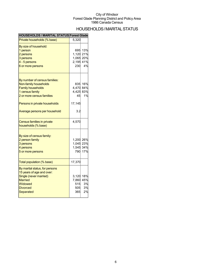## HOUSEHOLDS/MARITALSTATUS

| <b>HOUSEHOLDS / MARITAL STATUS Forest Glade</b> |           |     |
|-------------------------------------------------|-----------|-----|
| Private households (% base)                     | 5,320     |     |
| By size of household:                           |           |     |
| 1 person                                        | 695       | 13% |
| 2 persons                                       | 1,120     | 21% |
| 3 persons                                       | 1,065     | 20% |
| 4 - 5 persons                                   | 2,195 41% |     |
| 6 or more persons                               | 230       | 4%  |
| By number of census families:                   |           |     |
| Non-family households                           | 835       | 16% |
| <b>Family households</b>                        | 4,470     | 84% |
| 1 census family                                 | 4,425     | 83% |
| 2 or more census families                       | 45        | 1%  |
|                                                 |           |     |
| Persons in private households                   | 17,145    |     |
| Average persons per household                   | 3.2       |     |
| Census families in private                      | 4,570     |     |
| households (% base)                             |           |     |
| By size of census family:                       |           |     |
| 2 person family                                 | 1,200 26% |     |
| 3 persons                                       | 1,045 23% |     |
| 4 persons                                       | 1,545 34% |     |
| 5 or more persons                               | 790       | 17% |
| Total population (% base)                       | 17,370    |     |
| By marital status, for persons                  |           |     |
| 15 years of age and over:                       |           |     |
| Single (never married)                          | 3,120     | 18% |
| <b>Married</b>                                  | 7,860     | 45% |
|                                                 |           | 3%  |
| Widowed                                         | 515       |     |
| <b>Divorced</b>                                 | 505       | 3%  |
| Separated                                       | 365       | 2%  |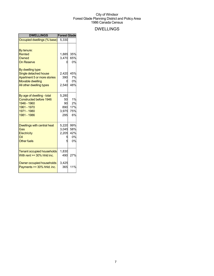## DWELLINGS

| <b>DWELLINGS</b>                                                                                                                                                                              | <b>Forest Glade</b>                      |                                            |
|-----------------------------------------------------------------------------------------------------------------------------------------------------------------------------------------------|------------------------------------------|--------------------------------------------|
| Occupied dwellings (% base)                                                                                                                                                                   | 5.330                                    |                                            |
| By tenure:<br><b>Rented</b><br>Owned<br><b>On Reserve</b><br>By dwelling type:<br>Single detached house<br>Apartment 5 or more stories<br><b>Movable dwelling</b><br>All other dwelling types | 1,885<br>3,470<br>2.420<br>390<br>2,540  | 35%<br>65%<br>0%<br>45%<br>7%<br>0%<br>48% |
| By age of dwelling - total<br><b>Constructed before 1946</b><br>1946 - 1960<br>1961 - 1970<br>1971 - 1980<br>1981 - 1986                                                                      | 5,280<br>50<br>90<br>890<br>3,975<br>295 | 1%<br>2%<br>17%<br>75%<br>6%               |
| <b>Dwellings with central heat</b><br>Gas<br>Electricity<br>Oil<br><b>Other fuels</b>                                                                                                         | 5,220<br>3,045<br>2,205                  | 99%<br>58%<br>42%<br>0%<br>0%              |
| <b>Tenant occupied households</b><br>With rent $>=$ 30% hhld inc.<br>Owner occupied households<br>Payments >= 30% hhld. inc.                                                                  | 1,830<br>490<br>3,425<br>365             | 27%<br>11%                                 |
|                                                                                                                                                                                               |                                          |                                            |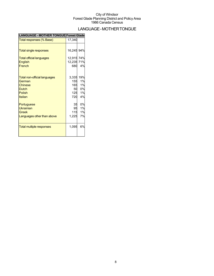## LANGUAGE-MOTHERTONGUE

| <b>LANGUAGE - MOTHER TONGUE Forest Glade</b> |            |     |
|----------------------------------------------|------------|-----|
| Total responses (% Base)                     | 17,340     |     |
|                                              |            |     |
| <b>Total single responses</b>                | 16,245 94% |     |
| <b>Total official languages</b>              | 12,915 74% |     |
| English                                      | 12,235 71% |     |
| French                                       | 680        | 4%  |
| <b>Total non-official languages</b>          | 3,335      | 19% |
| German                                       | 155        | 1%  |
| Chinese                                      | 165        | 1%  |
| <b>Dutch</b>                                 | 50         | 0%  |
| <b>Polish</b>                                | 125        | 1%  |
| Italian                                      | 720        | 4%  |
| Portuguese                                   | 35         | 0%  |
| <b>Ukrainian</b>                             | 95         | 1%  |
| Greek                                        | 115        | 1%  |
| Languages other than above                   | 1,225      | 7%  |
| <b>Total multiple responses</b>              | 1,095      | 6%  |
|                                              |            |     |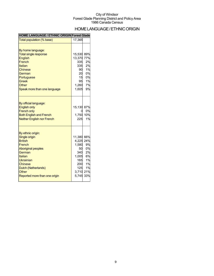## HOME LANGUAGE / ETHNIC ORIGIN

#### **HOME LANGUAGE / ETHNIC ORIGIN Forest Glade**

| Total population (% base)                                                                                                                                                                                                      | 17,365                                                                                            |                                                            |
|--------------------------------------------------------------------------------------------------------------------------------------------------------------------------------------------------------------------------------|---------------------------------------------------------------------------------------------------|------------------------------------------------------------|
| By home language:<br><b>Total single response</b><br><b>English</b><br>French<br>Italian<br><b>Chinese</b><br>German<br>Portuguese<br>Greek<br>Other<br>Speak more than one language                                           | 15,530<br>13,370<br>335<br>335<br>90<br>20<br>15<br>95<br>1,260<br>1,605                          | 89%<br>77%<br>2%<br>2%<br>1%<br>0%<br>0%<br>1%<br>7%<br>9% |
| By official language:<br><b>English only</b><br><b>French only</b><br><b>Both English and French</b><br><b>Neither English nor French</b>                                                                                      | 15,130 87%<br>1,750<br>225                                                                        | 0%<br>10%<br>1%                                            |
| By ethnic origin:<br><b>Single origin</b><br><b>British</b><br>French<br><b>Aboriginal peoples</b><br>German<br>Italian<br>Ukrainian<br><b>Chinese</b><br>Dutch (Netherlands)<br><b>Other</b><br>Reported more than one origin | 11,380 66%<br>4,225 24%<br>1,580<br>50<br>340<br>1,005<br>165<br>200<br>125<br>3,710 21%<br>5,745 | 9%<br>0%<br>2%<br>6%<br>1%<br>1%<br>1%<br>33%              |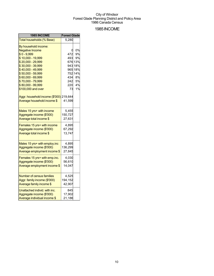### 1985INCOME

| 1985 INCOME                             | <b>Forest Glade</b> |         |
|-----------------------------------------|---------------------|---------|
| Total households (% Base)               | 5,280               |         |
| By household income:                    |                     |         |
| <b>Negative Income</b>                  | 0                   | 0%      |
| $$0 - 9,999$                            | 472                 | 9%      |
| \$10,000 - 19,999                       | 493                 | 9%      |
| \$20,000 - 29,999                       |                     | 676 13% |
| \$30,000 - 39,999                       |                     | 943 18% |
| \$40,000 - 49,999                       |                     | 965 18% |
| \$50,000 - 59,999                       |                     | 752 14% |
| \$60,000 - 69,999                       | 434                 | 8%      |
| \$70,000 - 79,999                       | 242                 | 5%      |
| \$80,000 - 99,999                       | 220                 | 4%      |
| \$100,000 and over                      | 73                  | 1%      |
| Aggr. household income (\$'000) 219,644 |                     |         |
| Average household income \$             | 41,599              |         |
|                                         |                     |         |
| Males 15 yrs+ with income               | 5,455               |         |
| Aggregate income (\$'000)               | 150,727             |         |
| Average total income \$                 | 27,631              |         |
| Females 15 yrs+ with income             | 4,895               |         |
| Aggregate income (\$'000)               | 67,292              |         |
| Average total income \$                 | 13,747              |         |
|                                         |                     |         |
| Males 15 yrs+ with employ.inc           | 4,895               |         |
| Aggregate income (\$'000)               | 136,299             |         |
| Average employment income \$            | 27,845              |         |
| Females 15 yrs+ with emp.inc.           | 4,030               |         |
| Aggregate income (\$'000)               | 56,610              |         |
| Average employment income \$            | 14,047              |         |
|                                         |                     |         |
| <b>Number of census families</b>        | 4,525               |         |
| Aggr. family income (\$'000)            | 194,152             |         |
| Average family income \$                | 42,907              |         |
| Unattached individ. with inc.           | 845                 |         |
| Aggregate income (\$'000)               | 17,902              |         |
| Average individual income \$            | 21,186              |         |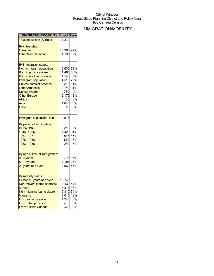## IMMIGRATION/MOBILITY

| <b>IMMIGRATION/MOBILITY Forest Glade</b>      |            |     |
|-----------------------------------------------|------------|-----|
| <b>Total population (% Base)</b>              | 17,370     |     |
| By citizenship:                               |            |     |
| Canadian                                      | 15,985 92% |     |
| <b>Other than Canadian</b>                    | 1,195      | 7%  |
|                                               |            |     |
| By immigration status:                        |            |     |
| Non-immigrant population                      | 12.630     | 73% |
| Born in province of res.                      | 11,465     | 66% |
| Born in another province                      | 1,140      | 7%  |
| Immigrant population                          | 4,515      | 26% |
| <b>United States of America</b>               | 260        | 1%  |
| <b>Other Americas</b>                         | 160        | 1%  |
| <b>United Kingdom</b>                         | 780        | 4%  |
| <b>Other Europe</b>                           | 2,175      | 13% |
| Africa                                        | 50         | 0%  |
| Asia                                          | 1,045      | 6%  |
| Other                                         | 10         | 0%  |
|                                               |            |     |
| Immigrant population - total                  | 4,515      |     |
| By period of immigration:                     |            |     |
| Before 1946                                   | 210        | 5%  |
| 1946 - 1966                                   | 1.420      | 31% |
| 1967 - 1977                                   | 2,045      | 45% |
| 1978 - 1982                                   | 570        | 13% |
| 1983 - 1986                                   | 260        | 6%  |
|                                               |            |     |
| By age at time of immigration:<br>0 - 4 years | 785        | 17% |
| 5 - 19 years                                  | 1,185      | 26% |
|                                               |            | 57% |
| 20 years and over                             | 2,560      |     |
| By mobility status:                           |            |     |
| Persons 5 years and over                      | 15,745     |     |
| Non-movers (same address)                     | 8,430      | 54% |
| <b>Movers</b>                                 | 7,315      | 46% |
| Non-migrants (same place)                     | 5,310      | 34% |
| <b>Migrants</b>                               | 2,015      | 13% |
| From same province                            | 1,240      | 8%  |
| From other province                           | 405        | 3%  |
| From outside Canada                           | 370        | 2%  |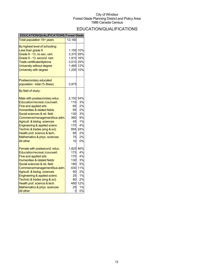## EDUCATION/QUALIFICATIONS

| EDUCATION/QUALIFICATIONS Forest Glade |           |         |
|---------------------------------------|-----------|---------|
| Total population 15+ years            | 12,160    |         |
| By highest level of schooling:        |           |         |
| Less than grade 9                     | 1,195 10% |         |
| Grade 9 - 13, no sec. cert.           | 3,370 28% |         |
| Grade 9 - 13, second. cert.           | 1,910 16% |         |
| Trade certificate/diploma             | 3,010 25% |         |
| University without degree             | 1,465 12% |         |
| University with degree                | 1,200     | 10%     |
| Postsecondary educated                |           |         |
| population - total (% Base)           | 3,975     |         |
| By field of study:                    |           |         |
| Male with postsecondary educ.         | 2,150 54% |         |
| Education/recreat./counsell.          | 110       | 3%      |
| <b>Fine and applied arts</b>          | 65        | 2%      |
| Humanities & related fields           | 95        | 2%      |
| Social sciences & rel. field          | 130       | 3%      |
| Commerce/management/bus.adm.          | 360       | 9%      |
| Agricult. & biolog. sciences          | 45        | 1%      |
| Engineering & applied scienc          | 170       | 4%      |
| Technic.& trades (eng & sci)          |           | 955 24% |
| Health prof. science & tech.          | 85        | 2%      |
| Mathematics & phys. sciences          | 75        | 2%      |
| <b>All other</b>                      | 10        | 0%      |
| Female with postsecond. educ.         | 1,825 46% |         |
| Education/recreat./counsell.          | 175       | 4%      |
| Fine and applied arts                 | 170       | 4%      |
| Humanities & related fields           | 130       | 3%      |
| Social sciences & rel. field          | 180       | 5%      |
| Commerce/management/bus.adm.          | 430       | 11%     |
| Agricult. & biolog. sciences          | 90        | 2%      |
| Engineering & applied scienc          | 25        | 1%      |
| Technic.& trades (eng & sci)          | 80        | 2%      |
| Health prof. science & tech.          | 480       | 12%     |
| Mathematics & phys. sciences          | 25        | 1%      |
| All other                             | 0         | 0%      |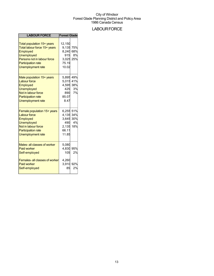## **LABOUR FORCE**

| <b>LABOUR FORCE</b>                                                                                                                                                                 | <b>Forest Glade</b>                                                                      |
|-------------------------------------------------------------------------------------------------------------------------------------------------------------------------------------|------------------------------------------------------------------------------------------|
| Total population 15+ years<br>Total labour force 15+ years<br>Employed<br><b>Unemployed</b><br>Persons not in labour force<br><b>Participation rate</b><br><b>Unemployment rate</b> | 12,150<br>75%<br>9.135<br>8,240<br>68%<br>8%<br>915<br>3,025 25%<br>75.19<br>10.02       |
| Male population 15+ years<br><b>Labour force</b><br>Employed<br><b>Unemployed</b><br>Not in labour force<br><b>Participation rate</b><br><b>Unemployment rate</b>                   | 49%<br>5,895<br>5,015 41%<br>4,595 38%<br>3%<br>425<br>7%<br>890<br>85.07<br>8.47        |
| Female population 15+ years<br><b>Labour force</b><br>Employed<br><b>Unemployed</b><br>Not in labour force<br><b>Participation rate</b><br><b>Unemployment rate</b>                 | 6,255 51%<br>4,135<br>34%<br>3,645<br>30%<br>490<br>4%<br>18%<br>2,135<br>66.11<br>11.85 |
| Males- all classes of worker<br><b>Paid worker</b><br>Self-employed                                                                                                                 | 5,080<br>4,830<br>95%<br>105<br>2%                                                       |
| Females- all classes of worker<br><b>Paid worker</b><br>Self-employed                                                                                                               | 4,260<br>3,910<br>92%<br>2%<br>85                                                        |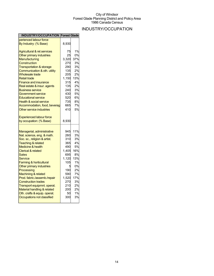## INDUSTRY/OCCUPATION

| <b>INDUSTRY/OCCUPATION Forest Glade</b>                    |              |           |
|------------------------------------------------------------|--------------|-----------|
| perienced labour force                                     |              |           |
| By Industry: (% Base)                                      | 8,930        |           |
| <b>Agricultural &amp; rel.services</b>                     | 75           | 1%        |
| Other primary industries                                   | 25           | 0%        |
| <b>Manufacturing</b>                                       | 3,320        | 37%       |
| Construction                                               | 270          | 3%        |
| <b>Transportation &amp; storage</b>                        | 290          | 3%        |
| Communication & oth. utility                               | 135          | 2%        |
| <b>Wholesale trade</b>                                     | 205          | 2%        |
| <b>Retail trade</b>                                        | 1,150        | 13%       |
| <b>Finance and insurance</b>                               | 315          | 4%        |
| Real estate & insur. agents                                | 135          | 2%        |
| <b>Business service</b>                                    | 240          | 3%        |
| Government service                                         | 430          | 5%        |
| <b>Educational service</b>                                 | 520          | 6%        |
| <b>Health &amp; social service</b>                         | 735          | 8%        |
| Accommodation, food, beverag                               | 665          | 7%        |
| Other service industries                                   | 410          | 5%        |
| Experienced labour force                                   |              |           |
| by occupation: (% Base)                                    | 8,930        |           |
| Managerial, administrative                                 | 945          | 11%       |
| Nat. science, eng. & math.                                 | 260          | 3%        |
| Soc. sc., religion & artist.                               | 310          | 3%        |
|                                                            |              |           |
|                                                            |              |           |
| <b>Teaching &amp; related</b>                              | 365          | 4%        |
| <b>Medicine &amp; health</b>                               | 490          | 5%        |
| <b>Clerical &amp; related</b>                              | 1,405        | 16%       |
| Sales                                                      | 695          | 8%        |
| Service                                                    | 1,120        | 13%       |
| Farming & horticultural                                    | 105          | 1%        |
| Other primary industries                                   | 5            | 0%        |
| Processing                                                 | 190          | 2%        |
| Machining & related                                        | 590          | 7%        |
| Prod. fabric./assemb./repair<br><b>Construction trades</b> | 1,520<br>270 | 17%<br>3% |
|                                                            |              | 2%        |
| Transport equipmnt. operat.                                | 210          |           |
| Material handling & related                                | 200          | 2%        |
| Oth. crafts & equip. operat.<br>Occupations not classified | 50<br>300    | 1%<br>3%  |